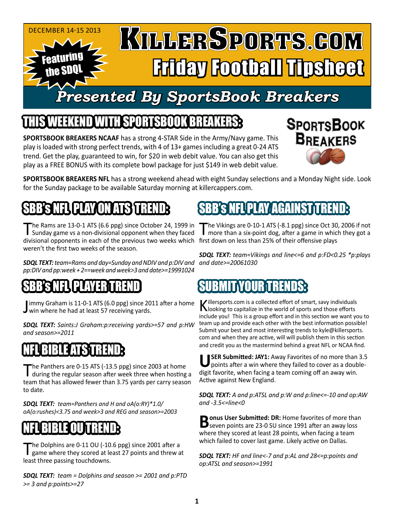

## IEEKEND WITH SPORTSBOOK BREAKER

**SPORTSBOOK BREAKERS NCAAF** has a strong 4-STAR Side in the Army/Navy game. This play is loaded with strong perfect trends, with 4 of 13+ games including a great 0-24 ATS trend. Get the play, guaranteed to win, for \$20 in web debit value. You can also get this play as a FREE BONUS with its complete bowl package for just \$149 in web debit value.



**SPORTSBOOK BREAKERS NFL** has a strong weekend ahead with eight Sunday selections and a Monday Night side. Look for the Sunday package to be available Saturday morning at killercappers.com.

# SBBSNEUCLAVONATS UREND

divisional opponents in each of the previous two weeks which first down on less than 25% of their offensive plays The Rams are 13-0-1 ATS (6.6 ppg) since October 24, 1999 in<br>Sunday game vs a non-divisional opponent when they faced weren't the first two weeks of the season.

*and date>=20061030 SDQL TEXT: team=Rams and day=Sunday and NDIV and p:DIV and pp:DIV and pp:week + 2==week and week>3 and date>=19991024*

### SBB'S NEL CLAYER UREND

Jimmy Graham is 11-0-1 ATS (6.0 ppg) since 20:<br>win where he had at least 57 receiving yards. immy Graham is 11-0-1 ATS (6.0 ppg) since 2011 after a home

*SDQL TEXT: Saints:J Graham:p:receiving yards>=57 and p:HW and season>=2011* 

### NHUBIBLE ATSURENDE

The Panthers are 0-15 ATS (-13.5 ppg) since 2003 at home<br>during the regular season after week three when hosting a team that has allowed fewer than 3.75 yards per carry season to date.

*SDQL TEXT: team=Panthers and H and oA(o:RY)\*1.0/ oA(o:rushes)<3.75 and week>3 and REG and season>=2003*

# NHUBIBLE OUTTRENDE

The Dolphins are 0-11 OU (-10.6 ppg) since 2001 after a<br>game where they scored at least 27 points and threw at least three passing touchdowns.

*SDQL TEXT: team = Dolphins and season >= 2001 and p:PTD >= 3 and p:points>=27*

# FLIPLAY/AGA

The Vikings are 0-10-1 ATS (-8.1 ppg) since Oct 30, 2006 if not more than a six-point dog, after a game in which they got a

*SDQL TEXT: team=Vikings and line<=6 and p:FD<0.25 \*p:plays* 

### SUBMIT YOUR TRENDS:

Killersports.com is a collected effort of smart, savy individuals<br>Nooking to capitalize in the world of sports and those efforts include you! This is a group effort and in this section we want you to team up and provide each other with the best information possible! Submit your best and most interesting trends to kyle@killersports. com and when they are active, will will publish them in this section and credit you as the mastermind behind a great NFL or NCAA find.

**SER Submitted: JAY1: Away Favorites of no more than 3.5** points after a win where they failed to cover as a doubledigit favorite, when facing a team coming off an away win. Active against New England.

*SDQL TEXT: A and p:ATSL and p:W and p:line<=-10 and op:AW and -3.5<=line<0*

**Bonus User Submitted: DR: Home favorites of more than**<br> **B** seven points are 23-0 SU since 1991 after an away loss where they scored at least 28 points, when facing a team which failed to cover last game. Likely active on Dallas.

*SDQL TEXT: HF and line<-7 and p:AL and 28<=p:points and op:ATSL and season>=1991*